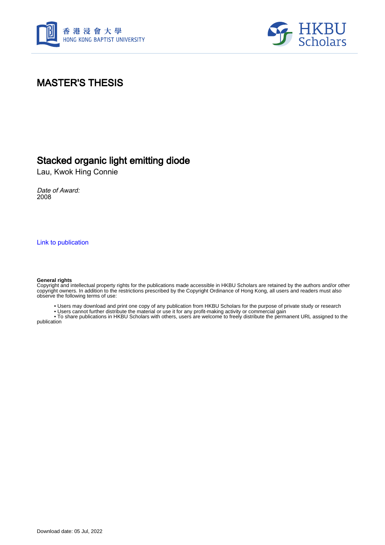



#### MASTER'S THESIS

#### Stacked organic light emitting diode

Lau, Kwok Hing Connie

Date of Award: 2008

[Link to publication](https://scholars.hkbu.edu.hk/en/studentTheses/aeac7c8f-790e-4f52-aaf8-99e7cfecebb0)

#### **General rights**

Copyright and intellectual property rights for the publications made accessible in HKBU Scholars are retained by the authors and/or other copyright owners. In addition to the restrictions prescribed by the Copyright Ordinance of Hong Kong, all users and readers must also observe the following terms of use:

• Users may download and print one copy of any publication from HKBU Scholars for the purpose of private study or research

• Users cannot further distribute the material or use it for any profit-making activity or commercial gain

 • To share publications in HKBU Scholars with others, users are welcome to freely distribute the permanent URL assigned to the publication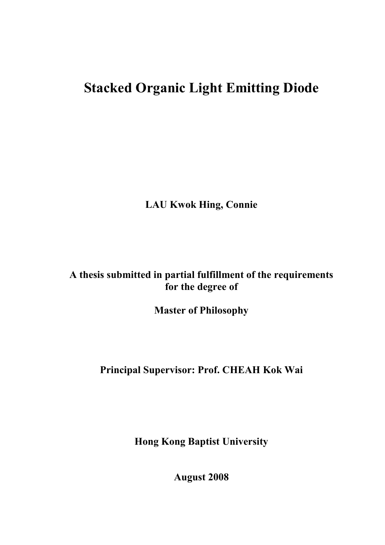# **Stacked Organic Light Emitting Diode**

**LAU Kwok Hing, Connie** 

### **A thesis submitted in partial fulfillment of the requirements for the degree of**

**Master of Philosophy** 

### **Principal Supervisor: Prof. CHEAH Kok Wai**

**Hong Kong Baptist University** 

**August 2008**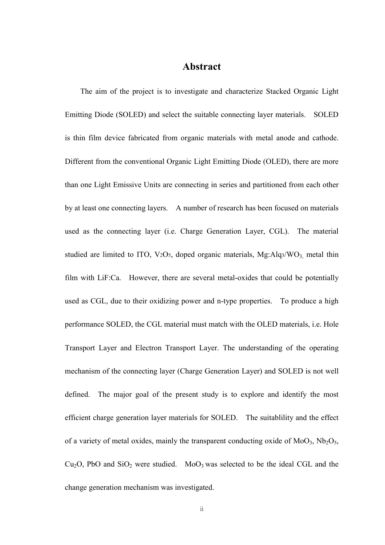#### **Abstract**

The aim of the project is to investigate and characterize Stacked Organic Light Emitting Diode (SOLED) and select the suitable connecting layer materials. SOLED is thin film device fabricated from organic materials with metal anode and cathode. Different from the conventional Organic Light Emitting Diode (OLED), there are more than one Light Emissive Units are connecting in series and partitioned from each other by at least one connecting layers. A number of research has been focused on materials used as the connecting layer (i.e. Charge Generation Layer, CGL). The material studied are limited to ITO, V<sub>2</sub>O<sub>5</sub>, doped organic materials, Mg:Alq3/WO<sub>3</sub>, metal thin film with LiF:Ca. However, there are several metal-oxides that could be potentially used as CGL, due to their oxidizing power and n-type properties. To produce a high performance SOLED, the CGL material must match with the OLED materials, i.e. Hole Transport Layer and Electron Transport Layer. The understanding of the operating mechanism of the connecting layer (Charge Generation Layer) and SOLED is not well defined. The major goal of the present study is to explore and identify the most efficient charge generation layer materials for SOLED. The suitablility and the effect of a variety of metal oxides, mainly the transparent conducting oxide of  $MoO<sub>3</sub>$ ,  $Nb<sub>2</sub>O<sub>5</sub>$ ,  $Cu<sub>2</sub>O$ , PbO and SiO<sub>2</sub> were studied. MoO<sub>3</sub> was selected to be the ideal CGL and the change generation mechanism was investigated.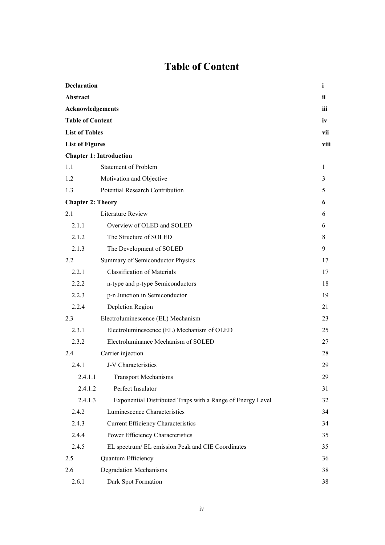## **Table of Content**

| <b>Declaration</b>                                                                             |                                                            | i    |
|------------------------------------------------------------------------------------------------|------------------------------------------------------------|------|
| Abstract                                                                                       |                                                            | ii   |
| Acknowledgements<br><b>Table of Content</b><br><b>List of Tables</b><br><b>List of Figures</b> |                                                            | iii  |
|                                                                                                |                                                            | iv   |
|                                                                                                |                                                            | vii  |
|                                                                                                |                                                            | viii |
|                                                                                                | <b>Chapter 1: Introduction</b>                             |      |
| 1.1                                                                                            | <b>Statement of Problem</b>                                | 1    |
| 1.2                                                                                            | Motivation and Objective                                   | 3    |
| 1.3                                                                                            | <b>Potential Research Contribution</b>                     | 5    |
| <b>Chapter 2: Theory</b>                                                                       |                                                            | 6    |
| 2.1                                                                                            | <b>Literature Review</b>                                   | 6    |
| 2.1.1                                                                                          | Overview of OLED and SOLED                                 | 6    |
| 2.1.2                                                                                          | The Structure of SOLED                                     | 8    |
| 2.1.3                                                                                          | The Development of SOLED                                   | 9    |
| 2.2                                                                                            | Summary of Semiconductor Physics                           | 17   |
| 2.2.1                                                                                          | <b>Classification of Materials</b>                         | 17   |
| 2.2.2                                                                                          | n-type and p-type Semiconductors                           | 18   |
| 2.2.3                                                                                          | p-n Junction in Semiconductor                              | 19   |
| 2.2.4                                                                                          | Depletion Region                                           | 21   |
| 2.3                                                                                            | Electroluminescence (EL) Mechanism                         | 23   |
| 2.3.1                                                                                          | Electroluminescence (EL) Mechanism of OLED                 | 25   |
| 2.3.2                                                                                          | Electroluminance Mechanism of SOLED                        | 27   |
| 2.4                                                                                            | Carrier injection                                          | 28   |
| 2.4.1                                                                                          | J-V Characteristics                                        | 29   |
| 2.4.1.1                                                                                        | <b>Transport Mechanisms</b>                                | 29   |
| 2.4.1.2                                                                                        | Perfect Insulator                                          | 31   |
| 2.4.1.3                                                                                        | Exponential Distributed Traps with a Range of Energy Level | 32   |
| 2.4.2                                                                                          | Luminescence Characteristics                               | 34   |
| 2.4.3                                                                                          | <b>Current Efficiency Characteristics</b>                  | 34   |
| 2.4.4                                                                                          | Power Efficiency Characteristics                           | 35   |
| 2.4.5                                                                                          | EL spectrum/ EL emission Peak and CIE Coordinates          | 35   |
| 2.5                                                                                            | Quantum Efficiency                                         | 36   |
| 2.6                                                                                            | <b>Degradation Mechanisms</b>                              | 38   |
| 2.6.1                                                                                          | Dark Spot Formation                                        | 38   |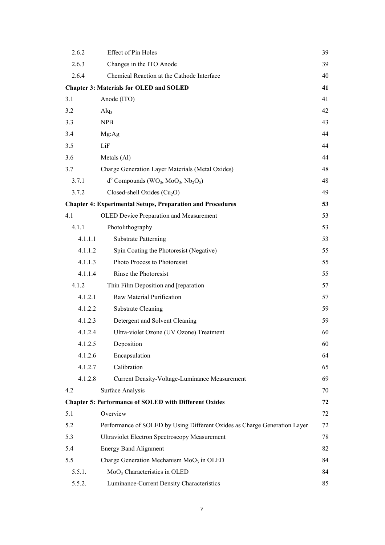| 2.6.2                                                | Effect of Pin Holes                                                                      | 39 |  |  |
|------------------------------------------------------|------------------------------------------------------------------------------------------|----|--|--|
| 2.6.3                                                | Changes in the ITO Anode                                                                 | 39 |  |  |
| 2.6.4                                                | Chemical Reaction at the Cathode Interface                                               | 40 |  |  |
| <b>Chapter 3: Materials for OLED and SOLED</b><br>41 |                                                                                          |    |  |  |
| 3.1                                                  | Anode (ITO)                                                                              | 41 |  |  |
| 3.2                                                  | $\text{Alq}_3$                                                                           | 42 |  |  |
| 3.3                                                  | <b>NPB</b>                                                                               | 43 |  |  |
| 3.4                                                  | Mg:Ag                                                                                    | 44 |  |  |
| 3.5                                                  | LiF                                                                                      | 44 |  |  |
| 3.6                                                  | Metals (Al)                                                                              | 44 |  |  |
| 3.7                                                  | Charge Generation Layer Materials (Metal Oxides)                                         | 48 |  |  |
| 3.7.1                                                | $d^{0}$ Compounds (WO <sub>3</sub> , MoO <sub>3</sub> , Nb <sub>2</sub> O <sub>5</sub> ) | 48 |  |  |
| 3.7.2                                                | Closed-shell Oxides $(Cu_2O)$                                                            | 49 |  |  |
|                                                      | <b>Chapter 4: Experimental Setups, Preparation and Procedures</b>                        | 53 |  |  |
| 4.1                                                  | <b>OLED Device Preparation and Measurement</b>                                           | 53 |  |  |
| 4.1.1                                                | Photolithography                                                                         | 53 |  |  |
| 4.1.1.1                                              | <b>Substrate Patterning</b>                                                              | 53 |  |  |
| 4.1.1.2                                              | Spin Coating the Photoresist (Negative)                                                  | 55 |  |  |
| 4.1.1.3                                              | Photo Process to Photoresist                                                             | 55 |  |  |
| 4.1.1.4                                              | Rinse the Photoresist                                                                    | 55 |  |  |
| 4.1.2                                                | Thin Film Deposition and [reparation                                                     | 57 |  |  |
| 4.1.2.1                                              | Raw Material Purification                                                                | 57 |  |  |
| 4.1.2.2                                              | <b>Substrate Cleaning</b>                                                                | 59 |  |  |
| 4.1.2.3                                              | Detergent and Solvent Cleaning                                                           | 59 |  |  |
| 4.1.2.4                                              | Ultra-violet Ozone (UV Ozone) Treatment                                                  | 60 |  |  |
| 4.1.2.5                                              | Deposition                                                                               | 60 |  |  |
| 4.1.2.6                                              | Encapsulation                                                                            | 64 |  |  |
| 4.1.2.7                                              | Calibration                                                                              | 65 |  |  |
| 4.1.2.8                                              | Current Density-Voltage-Luminance Measurement                                            | 69 |  |  |
| 4.2                                                  | Surface Analysis                                                                         | 70 |  |  |
|                                                      | <b>Chapter 5: Performance of SOLED with Different Oxides</b>                             | 72 |  |  |
| 5.1                                                  | Overview                                                                                 | 72 |  |  |
| 5.2                                                  | Performance of SOLED by Using Different Oxides as Charge Generation Layer                | 72 |  |  |
| 5.3                                                  | <b>Ultraviolet Electron Spectroscopy Measurement</b>                                     | 78 |  |  |
| 5.4                                                  | <b>Energy Band Alignment</b>                                                             | 82 |  |  |
| 5.5                                                  | Charge Generation Mechanism MoO <sub>3</sub> in OLED                                     | 84 |  |  |
| 5.5.1.                                               | MoO <sub>3</sub> Characteristics in OLED                                                 | 84 |  |  |
| 5.5.2.                                               | Luminance-Current Density Characteristics                                                | 85 |  |  |